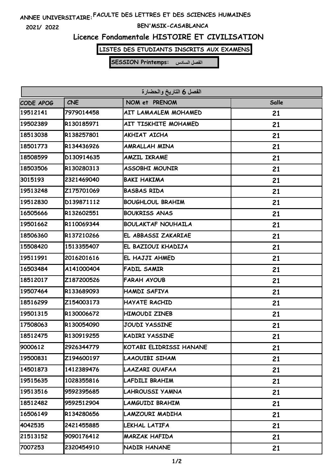# **FACULTE DES LETTRES ET DES SCIENCES HUMAINES ANNEE UNIVERSITAIRE:**

**2021/ 2022**

#### **BEN'MSIK-CASABLANCA**

### **Licence Fondamentale HISTOIRE ET CIVILISATION**

**LISTES DES ETUDIANTS INSCRITS AUX EXAMENS**

**SESSION Printemps: الفصل السادس**

| الفصل 6 التاريخ والحضارة |            |                           |       |  |
|--------------------------|------------|---------------------------|-------|--|
| CODE APOG                | <b>CNE</b> | NOM et PRENOM             | Salle |  |
| 19512141                 | 7979014458 | AIT LAMAALEM MOHAMED      | 21    |  |
| 19502389                 | R130185971 | AIT TISKHITE MOHAMED      | 21    |  |
| 18513038                 | R138257801 | <b>AKHIAT AICHA</b>       | 21    |  |
| 18501773                 | R134436926 | <b>AMRALLAH MINA</b>      | 21    |  |
| 18508599                 | D130914635 | <b>AMZIL IKRAME</b>       | 21    |  |
| 18503506                 | R130280313 | ASSOBHI MOUNIR            | 21    |  |
| 3015193                  | 2321469040 | <b>BAKI HAKIMA</b>        | 21    |  |
| 19513248                 | Z175701069 | <b>BASBAS RIDA</b>        | 21    |  |
| 19512830                 | D139871112 | <b>BOUGHLOUL BRAHIM</b>   | 21    |  |
| 16505666                 | R132602551 | <b>BOUKRISS ANAS</b>      | 21    |  |
| 19501662                 | R110069344 | <b>BOULAKTAF NOUHAILA</b> | 21    |  |
| 18506360                 | R137210266 | EL ABBASSI ZAKARIAE       | 21    |  |
| 15508420                 | 1513355407 | EL BAZIOUI KHADIJA        | 21    |  |
| 19511991                 | 2016201616 | EL HAJJI AHMED            | 21    |  |
| 16503484                 | A141000404 | <b>FADIL SAMIR</b>        | 21    |  |
| 18512017                 | Z187200526 | <b>FARAH AYOUB</b>        | 21    |  |
| 19507464                 | R133689093 | HAMDI SAFIYA              | 21    |  |
| 18516299                 | Z154003173 | <b>HAYATE RACHID</b>      | 21    |  |
| 19501315                 | R130006672 | <b>HIMOUDI ZINEB</b>      | 21    |  |
| 17508063                 | R130054090 | <b>JOUDI YASSINE</b>      | 21    |  |
| 18512475                 | R130919255 | KADIRI YASSINE            | 21    |  |
| 9000612                  | 2926344779 | KOTABI ELIDRISSI HANANE   | 21    |  |
| 19500831                 | Z194600197 | <b>LAAOUIBI SIHAM</b>     | 21    |  |
| 14501873                 | 1412389476 | LAAZARI OUAFAA            | 21    |  |
| 19515635                 | 1028355816 | LAFDILI BRAHIM            | 21    |  |
| 19513516                 | 9592395685 | LAHROUSSI YAMNA           | 21    |  |
| 18512482                 | 9592512904 | LAMGUIDI BRAHIM           | 21    |  |
| 16506149                 | R134280656 | LAMZOURI MADIHA           | 21    |  |
| 4042535                  | 2421455885 | LEKHAL LATIFA             | 21    |  |
| 21513152                 | 9090176412 | <b>MARZAK HAFIDA</b>      | 21    |  |
| 7007253                  | 2320454910 | NADIR HANANE              | 21    |  |